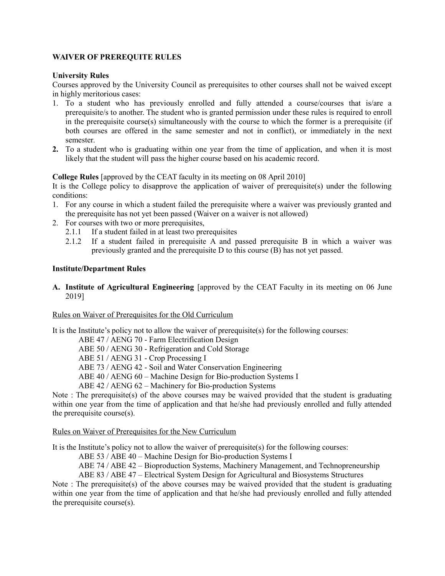## **WAIVER OF PREREQUITE RULES**

### **University Rules**

Courses approved by the University Council as prerequisites to other courses shall not be waived except in highly meritorious cases:

- 1. To a student who has previously enrolled and fully attended a course/courses that is/are a prerequisite/s to another. The student who is granted permission under these rules is required to enroll in the prerequisite course(s) simultaneously with the course to which the former is a prerequisite (if both courses are offered in the same semester and not in conflict), or immediately in the next semester.
- **2.** To a student who is graduating within one year from the time of application, and when it is most likely that the student will pass the higher course based on his academic record.

**College Rules** [approved by the CEAT faculty in its meeting on 08 April 2010]

It is the College policy to disapprove the application of waiver of prerequisite(s) under the following conditions:

- 1. For any course in which a student failed the prerequisite where a waiver was previously granted and the prerequisite has not yet been passed (Waiver on a waiver is not allowed)
- 2. For courses with two or more prerequisites,
	- 2.1.1 If a student failed in at least two prerequisites
	- 2.1.2 If a student failed in prerequisite A and passed prerequisite B in which a waiver was previously granted and the prerequisite D to this course (B) has not yet passed.

### **Institute/Department Rules**

**A. Institute of Agricultural Engineering** [approved by the CEAT Faculty in its meeting on 06 June 2019]

### Rules on Waiver of Prerequisites for the Old Curriculum

It is the Institute's policy not to allow the waiver of prerequisite(s) for the following courses:

ABE 47 / AENG 70 - Farm Electrification Design

ABE 50 / AENG 30 - Refrigeration and Cold Storage

ABE 51 / AENG 31 - Crop Processing I

ABE 73 / AENG 42 - Soil and Water Conservation Engineering

ABE 40 / AENG 60 – Machine Design for Bio-production Systems I

ABE 42 / AENG 62 – Machinery for Bio-production Systems

Note : The prerequisite(s) of the above courses may be waived provided that the student is graduating within one year from the time of application and that he/she had previously enrolled and fully attended the prerequisite course(s).

## Rules on Waiver of Prerequisites for the New Curriculum

It is the Institute's policy not to allow the waiver of prerequisite(s) for the following courses:

ABE 53 / ABE 40 – Machine Design for Bio-production Systems I

ABE 74 / ABE 42 – Bioproduction Systems, Machinery Management, and Technopreneurship

ABE 83 / ABE 47 – Electrical System Design for Agricultural and Biosystems Structures

Note : The prerequisite(s) of the above courses may be waived provided that the student is graduating within one year from the time of application and that he/she had previously enrolled and fully attended the prerequisite course(s).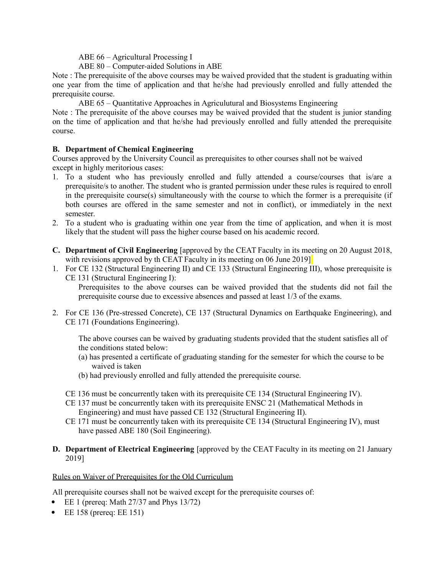ABE 66 – Agricultural Processing I

ABE 80 – Computer-aided Solutions in ABE

Note : The prerequisite of the above courses may be waived provided that the student is graduating within one year from the time of application and that he/she had previously enrolled and fully attended the prerequisite course.

ABE 65 – Quantitative Approaches in Agriculutural and Biosystems Engineering

Note : The prerequisite of the above courses may be waived provided that the student is junior standing on the time of application and that he/she had previously enrolled and fully attended the prerequisite course.

# **B. Department of Chemical Engineering**

Courses approved by the University Council as prerequisites to other courses shall not be waived except in highly meritorious cases:

- 1. To a student who has previously enrolled and fully attended a course/courses that is/are a prerequisite/s to another. The student who is granted permission under these rules is required to enroll in the prerequisite course(s) simultaneously with the course to which the former is a prerequisite (if both courses are offered in the same semester and not in conflict), or immediately in the next semester.
- 2. To a student who is graduating within one year from the time of application, and when it is most likely that the student will pass the higher course based on his academic record.
- **C. Department of Civil Engineering** [approved by the CEAT Faculty in its meeting on 20 August 2018, with revisions approved by th CEAT Faculty in its meeting on 06 June 2019]
- 1. For CE 132 (Structural Engineering II) and CE 133 (Structural Engineering III), whose prerequisite is CE 131 (Structural Engineering I): Prerequisites to the above courses can be waived provided that the students did not fail the

prerequisite course due to excessive absences and passed at least 1/3 of the exams.

2. For CE 136 (Pre-stressed Concrete), CE 137 (Structural Dynamics on Earthquake Engineering), and CE 171 (Foundations Engineering).

The above courses can be waived by graduating students provided that the student satisfies all of the conditions stated below:

- (a) has presented a certificate of graduating standing for the semester for which the course to be waived is taken
- (b) had previously enrolled and fully attended the prerequisite course.
- CE 136 must be concurrently taken with its prerequisite CE 134 (Structural Engineering IV).
- CE 137 must be concurrently taken with its prerequisite ENSC 21 (Mathematical Methods in Engineering) and must have passed CE 132 (Structural Engineering II).
- CE 171 must be concurrently taken with its prerequisite CE 134 (Structural Engineering IV), must have passed ABE 180 (Soil Engineering).

# **D. Department of Electrical Engineering** [approved by the CEAT Faculty in its meeting on 21 January 2019]

# Rules on Waiver of Prerequisites for the Old Curriculum

All prerequisite courses shall not be waived except for the prerequisite courses of:

- $\bullet$  EE 1 (prereq: Math 27/37 and Phys 13/72)
- $\bullet$  EE 158 (prereq: EE 151)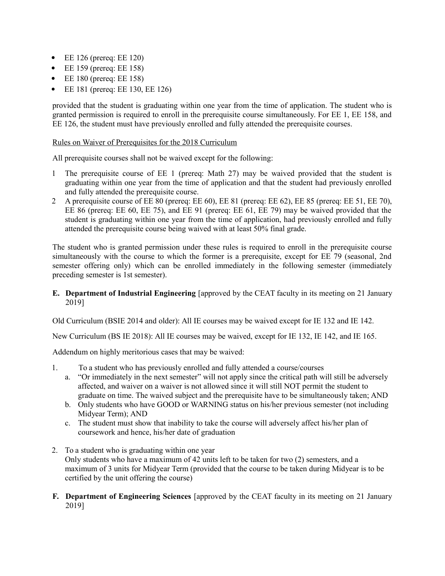- $\bullet$  EE 126 (prereq: EE 120)
- $\bullet$  EE 159 (prereq: EE 158)
- $\bullet$  EE 180 (prereq: EE 158)
- EE 181 (prereq: EE 130, EE 126)

provided that the student is graduating within one year from the time of application. The student who is granted permission is required to enroll in the prerequisite course simultaneously. For EE 1, EE 158, and EE 126, the student must have previously enrolled and fully attended the prerequisite courses.

### Rules on Waiver of Prerequisites for the 2018 Curriculum

All prerequisite courses shall not be waived except for the following:

- 1 The prerequisite course of EE 1 (prereq: Math 27) may be waived provided that the student is graduating within one year from the time of application and that the student had previously enrolled and fully attended the prerequisite course.
- 2 A prerequisite course of EE 80 (prereq: EE 60), EE 81 (prereq: EE 62), EE 85 (prereq: EE 51, EE 70), EE 86 (prereq: EE 60, EE 75), and EE 91 (prereq: EE 61, EE 79) may be waived provided that the student is graduating within one year from the time of application, had previously enrolled and fully attended the prerequisite course being waived with at least 50% final grade.

The student who is granted permission under these rules is required to enroll in the prerequisite course simultaneously with the course to which the former is a prerequisite, except for EE 79 (seasonal, 2nd semester offering only) which can be enrolled immediately in the following semester (immediately preceding semester is 1st semester).

**E. Department of Industrial Engineering** [approved by the CEAT faculty in its meeting on 21 January 2019]

Old Curriculum (BSIE 2014 and older): All IE courses may be waived except for IE 132 and IE 142.

New Curriculum (BS IE 2018): All IE courses may be waived, except for IE 132, IE 142, and IE 165.

Addendum on highly meritorious cases that may be waived:

- 1. To a student who has previously enrolled and fully attended a course/courses
	- a. "Or immediately in the next semester" will not apply since the critical path will still be adversely affected, and waiver on a waiver is not allowed since it will still NOT permit the student to graduate on time. The waived subject and the prerequisite have to be simultaneously taken; AND
	- b. Only students who have GOOD or WARNING status on his/her previous semester (not including Midyear Term); AND
	- c. The student must show that inability to take the course will adversely affect his/her plan of coursework and hence, his/her date of graduation
- 2. To a student who is graduating within one year Only students who have a maximum of 42 units left to be taken for two (2) semesters, and a maximum of 3 units for Midyear Term (provided that the course to be taken during Midyear is to be certified by the unit offering the course)
- **F. Department of Engineering Sciences** [approved by the CEAT faculty in its meeting on 21 January 2019]